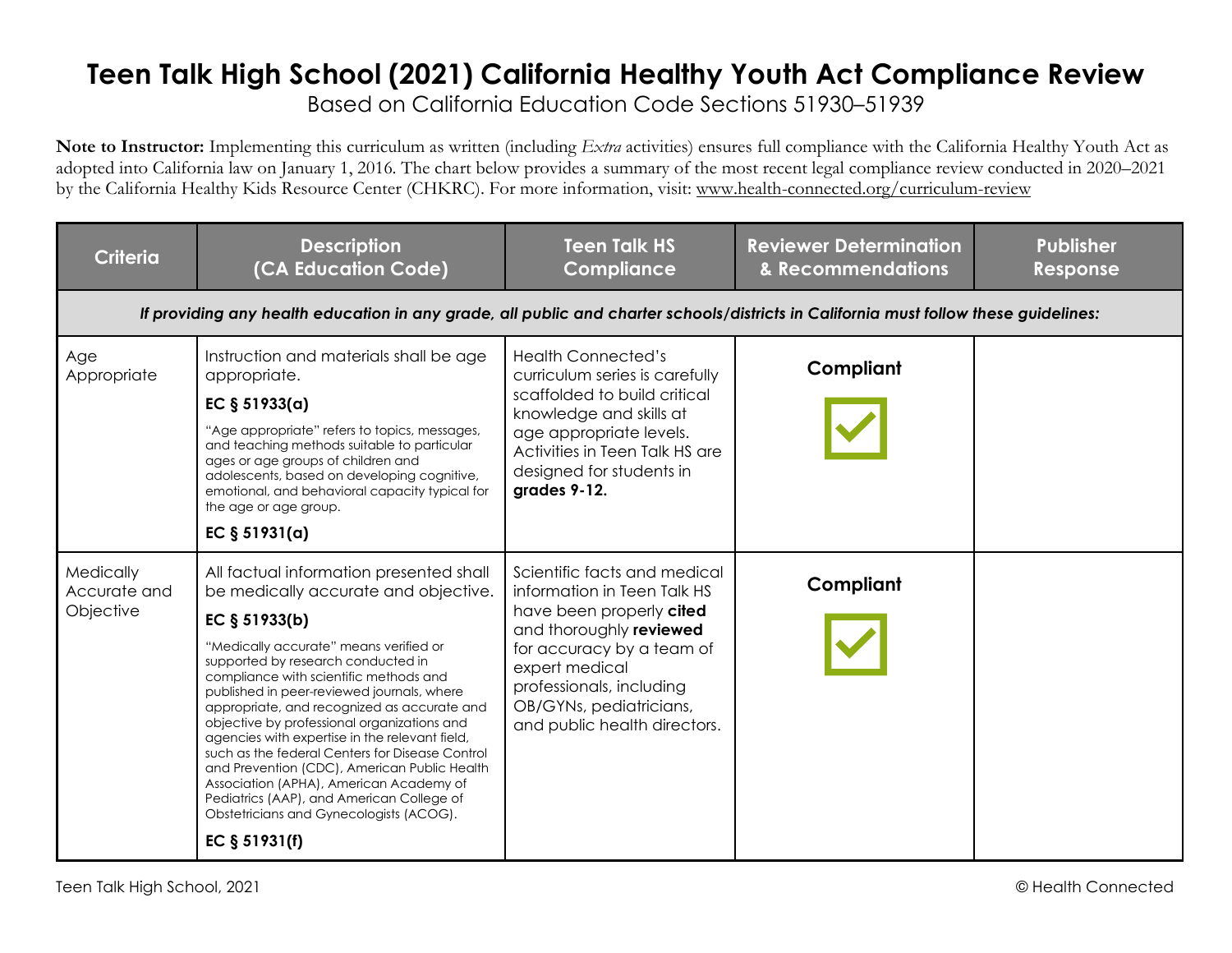## **Teen Talk High School (2021) California Healthy Youth Act Compliance Review**

Based on California Education Code Sections 51930–51939

**Note to Instructor:** Implementing this curriculum as written (including *Extra* activities) ensures full compliance with the California Healthy Youth Act as adopted into California law on January 1, 2016. The chart below provides a summary of the most recent legal compliance review conducted in 2020–2021 by the California Healthy Kids Resource Center (CHKRC). For more information, visit: www.health-connected.org/curriculum-review

| <b>Criteria</b>                        | <b>Description</b><br>(CA Education Code)                                                                                                                                                                                                                                                                                                                                                                                                                                                                                                                                                                                                                                           | <b>Teen Talk HS</b><br><b>Compliance</b>                                                                                                                                                                                                                 | <b>Reviewer Determination</b><br>& Recommendations | <b>Publisher</b><br>Response |  |  |
|----------------------------------------|-------------------------------------------------------------------------------------------------------------------------------------------------------------------------------------------------------------------------------------------------------------------------------------------------------------------------------------------------------------------------------------------------------------------------------------------------------------------------------------------------------------------------------------------------------------------------------------------------------------------------------------------------------------------------------------|----------------------------------------------------------------------------------------------------------------------------------------------------------------------------------------------------------------------------------------------------------|----------------------------------------------------|------------------------------|--|--|
|                                        | If providing any health education in any grade, all public and charter schools/districts in California must follow these guidelines:                                                                                                                                                                                                                                                                                                                                                                                                                                                                                                                                                |                                                                                                                                                                                                                                                          |                                                    |                              |  |  |
| Age<br>Appropriate                     | Instruction and materials shall be age<br>appropriate.<br>EC $§ 51933(a)$<br>"Age appropriate" refers to topics, messages,<br>and teaching methods suitable to particular<br>ages or age groups of children and<br>adolescents, based on developing cognitive,<br>emotional, and behavioral capacity typical for<br>the age or age group.<br>EC $§ 51931(a)$                                                                                                                                                                                                                                                                                                                        | <b>Health Connected's</b><br>curriculum series is carefully<br>scaffolded to build critical<br>knowledge and skills at<br>age appropriate levels.<br>Activities in Teen Talk HS are<br>designed for students in<br>grades 9-12.                          | Compliant                                          |                              |  |  |
| Medically<br>Accurate and<br>Objective | All factual information presented shall<br>be medically accurate and objective.<br>EC $§ 51933(b)$<br>"Medically accurate" means verified or<br>supported by research conducted in<br>compliance with scientific methods and<br>published in peer-reviewed journals, where<br>appropriate, and recognized as accurate and<br>objective by professional organizations and<br>agencies with expertise in the relevant field,<br>such as the federal Centers for Disease Control<br>and Prevention (CDC), American Public Health<br>Association (APHA), American Academy of<br>Pediatrics (AAP), and American College of<br>Obstetricians and Gynecologists (ACOG).<br>EC $§ 51931(f)$ | Scientific facts and medical<br>information in Teen Talk HS<br>have been properly cited<br>and thoroughly reviewed<br>for accuracy by a team of<br>expert medical<br>professionals, including<br>OB/GYNs, pediatricians,<br>and public health directors. | Compliant                                          |                              |  |  |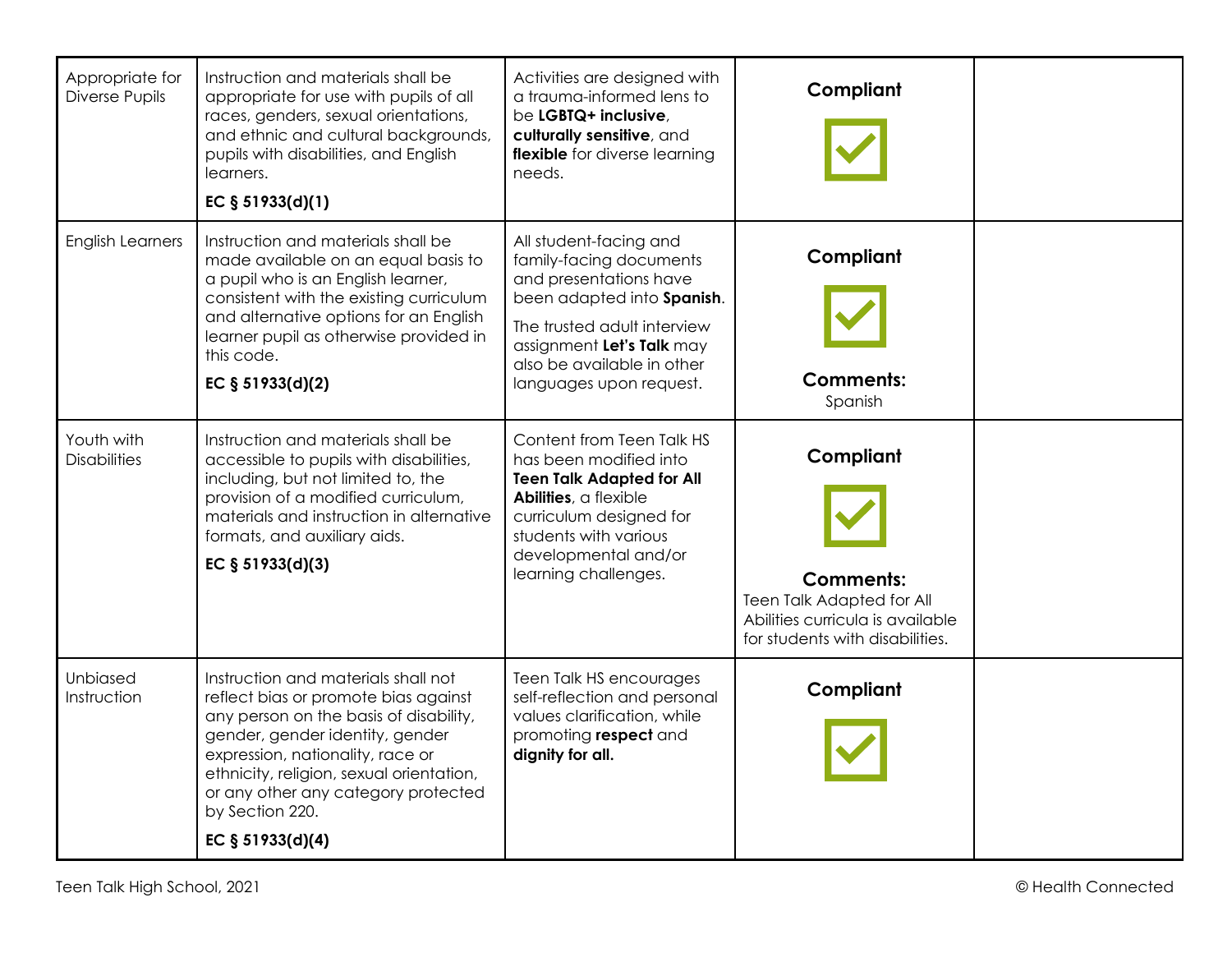| Appropriate for<br>Diverse Pupils | Instruction and materials shall be<br>appropriate for use with pupils of all<br>races, genders, sexual orientations,<br>and ethnic and cultural backgrounds,<br>pupils with disabilities, and English<br>learners.<br>EC § 51933(d)(1)                                                                                 | Activities are designed with<br>a trauma-informed lens to<br>be LGBTQ+ inclusive,<br>culturally sensitive, and<br>flexible for diverse learning<br>needs.                                                                      | Compliant                                                                                                                         |  |
|-----------------------------------|------------------------------------------------------------------------------------------------------------------------------------------------------------------------------------------------------------------------------------------------------------------------------------------------------------------------|--------------------------------------------------------------------------------------------------------------------------------------------------------------------------------------------------------------------------------|-----------------------------------------------------------------------------------------------------------------------------------|--|
| <b>English Learners</b>           | Instruction and materials shall be<br>made available on an equal basis to<br>a pupil who is an English learner,<br>consistent with the existing curriculum<br>and alternative options for an English<br>learner pupil as otherwise provided in<br>this code.<br>EC § 51933(d)(2)                                       | All student-facing and<br>family-facing documents<br>and presentations have<br>been adapted into Spanish.<br>The trusted adult interview<br>assignment Let's Talk may<br>also be available in other<br>languages upon request. | Compliant<br><b>Comments:</b><br>Spanish                                                                                          |  |
| Youth with<br>Disabilities        | Instruction and materials shall be<br>accessible to pupils with disabilities,<br>including, but not limited to, the<br>provision of a modified curriculum,<br>materials and instruction in alternative<br>formats, and auxiliary aids.<br>EC § 51933(d)(3)                                                             | Content from Teen Talk HS<br>has been modified into<br><b>Teen Talk Adapted for All</b><br>Abilities, a flexible<br>curriculum designed for<br>students with various<br>developmental and/or<br>learning challenges.           | Compliant<br><b>Comments:</b><br>Teen Talk Adapted for All<br>Abilities curricula is available<br>for students with disabilities. |  |
| Unbiased<br>Instruction           | Instruction and materials shall not<br>reflect bias or promote bias against<br>any person on the basis of disability,<br>gender, gender identity, gender<br>expression, nationality, race or<br>ethnicity, religion, sexual orientation,<br>or any other any category protected<br>by Section 220.<br>EC § 51933(d)(4) | Teen Talk HS encourages<br>self-reflection and personal<br>values clarification, while<br>promoting respect and<br>dignity for all.                                                                                            | Compliant                                                                                                                         |  |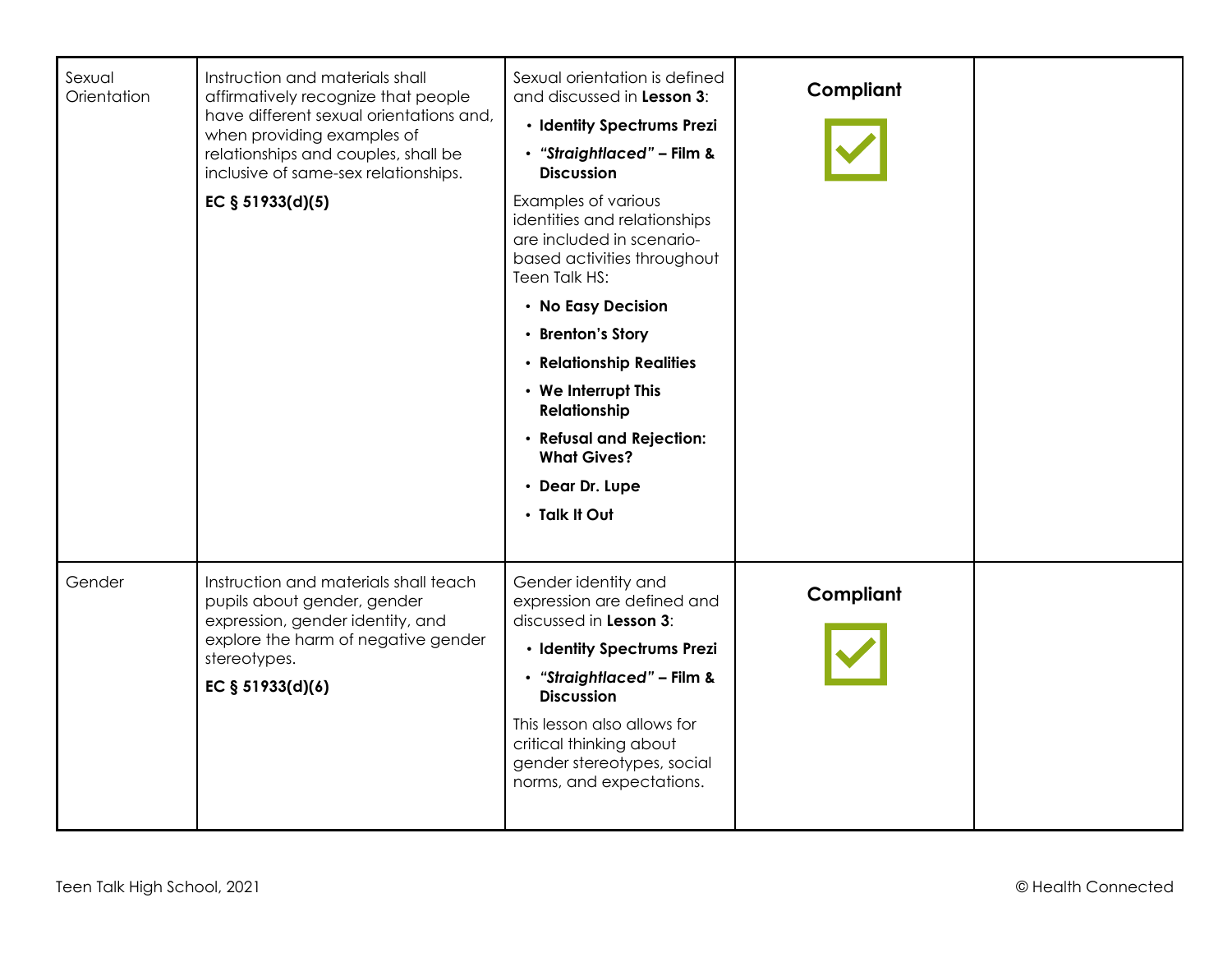| Sexual<br>Orientation | Instruction and materials shall<br>affirmatively recognize that people<br>have different sexual orientations and,<br>when providing examples of<br>relationships and couples, shall be<br>inclusive of same-sex relationships.<br>EC $§ 51933(d)(5)$ | Sexual orientation is defined<br>and discussed in Lesson 3:<br>· Identity Spectrums Prezi<br>· "Straightlaced" - Film &<br><b>Discussion</b><br>Examples of various<br>identities and relationships<br>are included in scenario-<br>based activities throughout<br>Teen Talk HS:<br>• No Easy Decision<br>• Brenton's Story<br>• Relationship Realities<br>• We Interrupt This<br><b>Relationship</b><br>• Refusal and Rejection:<br><b>What Gives?</b><br>• Dear Dr. Lupe<br>· Talk It Out | Compliant |  |
|-----------------------|------------------------------------------------------------------------------------------------------------------------------------------------------------------------------------------------------------------------------------------------------|---------------------------------------------------------------------------------------------------------------------------------------------------------------------------------------------------------------------------------------------------------------------------------------------------------------------------------------------------------------------------------------------------------------------------------------------------------------------------------------------|-----------|--|
| Gender                | Instruction and materials shall teach<br>pupils about gender, gender<br>expression, gender identity, and<br>explore the harm of negative gender<br>stereotypes.<br>EC § 51933(d)(6)                                                                  | Gender identity and<br>expression are defined and<br>discussed in Lesson 3:<br>· Identity Spectrums Prezi<br>· "Straightlaced" - Film &<br><b>Discussion</b><br>This lesson also allows for<br>critical thinking about<br>gender stereotypes, social<br>norms, and expectations.                                                                                                                                                                                                            | Compliant |  |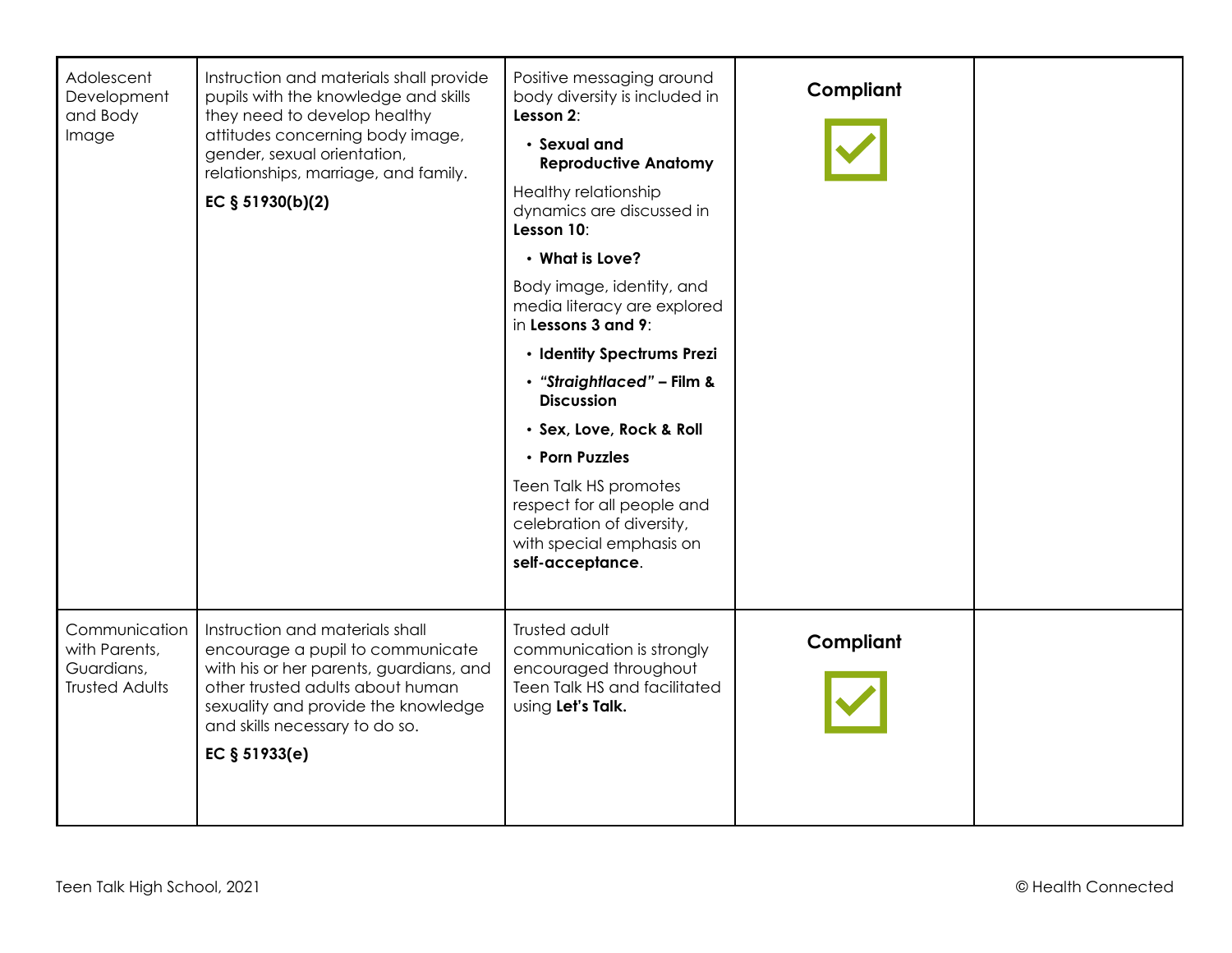| Adolescent<br>Development<br>and Body<br>Image                        | Instruction and materials shall provide<br>pupils with the knowledge and skills<br>they need to develop healthy<br>attitudes concerning body image,<br>gender, sexual orientation,<br>relationships, marriage, and family.<br>EC $§ 51930(b)(2)$ | Positive messaging around<br>body diversity is included in<br>Lesson 2:<br>• Sexual and<br><b>Reproductive Anatomy</b><br>Healthy relationship<br>dynamics are discussed in<br>Lesson 10:<br>• What is Love?<br>Body image, identity, and<br>media literacy are explored<br>in Lessons 3 and 9:<br>· Identity Spectrums Prezi<br>• "Straightlaced" - Film &<br><b>Discussion</b><br>· Sex, Love, Rock & Roll<br>• Porn Puzzles<br>Teen Talk HS promotes<br>respect for all people and<br>celebration of diversity,<br>with special emphasis on<br>self-acceptance. | Compliant |  |
|-----------------------------------------------------------------------|--------------------------------------------------------------------------------------------------------------------------------------------------------------------------------------------------------------------------------------------------|--------------------------------------------------------------------------------------------------------------------------------------------------------------------------------------------------------------------------------------------------------------------------------------------------------------------------------------------------------------------------------------------------------------------------------------------------------------------------------------------------------------------------------------------------------------------|-----------|--|
| Communication<br>with Parents,<br>Guardians,<br><b>Trusted Adults</b> | Instruction and materials shall<br>encourage a pupil to communicate<br>with his or her parents, guardians, and<br>other trusted adults about human<br>sexuality and provide the knowledge<br>and skills necessary to do so.<br>EC $§ 51933(e)$   | Trusted adult<br>communication is strongly<br>encouraged throughout<br>Teen Talk HS and facilitated<br>using Let's Talk.                                                                                                                                                                                                                                                                                                                                                                                                                                           | Compliant |  |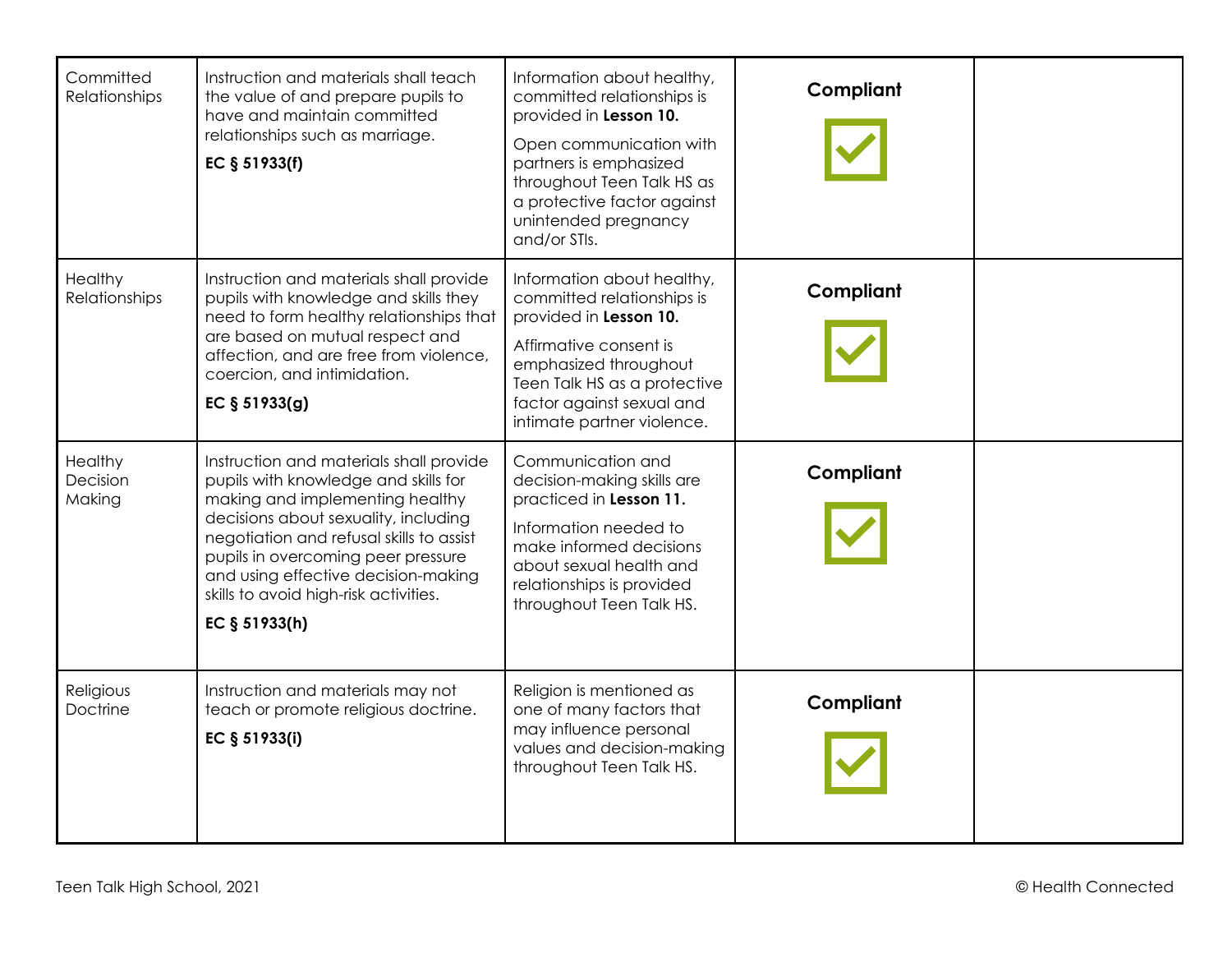| Committed<br>Relationships    | Instruction and materials shall teach<br>the value of and prepare pupils to<br>have and maintain committed<br>relationships such as marriage.<br>EC § 51933(f)                                                                                                                                                                                | Information about healthy,<br>committed relationships is<br>provided in Lesson 10.<br>Open communication with<br>partners is emphasized<br>throughout Teen Talk HS as<br>a protective factor against<br>unintended pregnancy<br>and/or STIs. | Compliant |  |
|-------------------------------|-----------------------------------------------------------------------------------------------------------------------------------------------------------------------------------------------------------------------------------------------------------------------------------------------------------------------------------------------|----------------------------------------------------------------------------------------------------------------------------------------------------------------------------------------------------------------------------------------------|-----------|--|
| Healthy<br>Relationships      | Instruction and materials shall provide<br>pupils with knowledge and skills they<br>need to form healthy relationships that<br>are based on mutual respect and<br>affection, and are free from violence,<br>coercion, and intimidation.<br>EC § 51933(g)                                                                                      | Information about healthy,<br>committed relationships is<br>provided in Lesson 10.<br>Affirmative consent is<br>emphasized throughout<br>Teen Talk HS as a protective<br>factor against sexual and<br>intimate partner violence.             | Compliant |  |
| Healthy<br>Decision<br>Making | Instruction and materials shall provide<br>pupils with knowledge and skills for<br>making and implementing healthy<br>decisions about sexuality, including<br>negotiation and refusal skills to assist<br>pupils in overcoming peer pressure<br>and using effective decision-making<br>skills to avoid high-risk activities.<br>EC § 51933(h) | Communication and<br>decision-making skills are<br>practiced in Lesson 11.<br>Information needed to<br>make informed decisions<br>about sexual health and<br>relationships is provided<br>throughout Teen Talk HS.                           | Compliant |  |
| Religious<br>Doctrine         | Instruction and materials may not<br>teach or promote religious doctrine.<br>EC § 51933(i)                                                                                                                                                                                                                                                    | Religion is mentioned as<br>one of many factors that<br>may influence personal<br>values and decision-making<br>throughout Teen Talk HS.                                                                                                     | Compliant |  |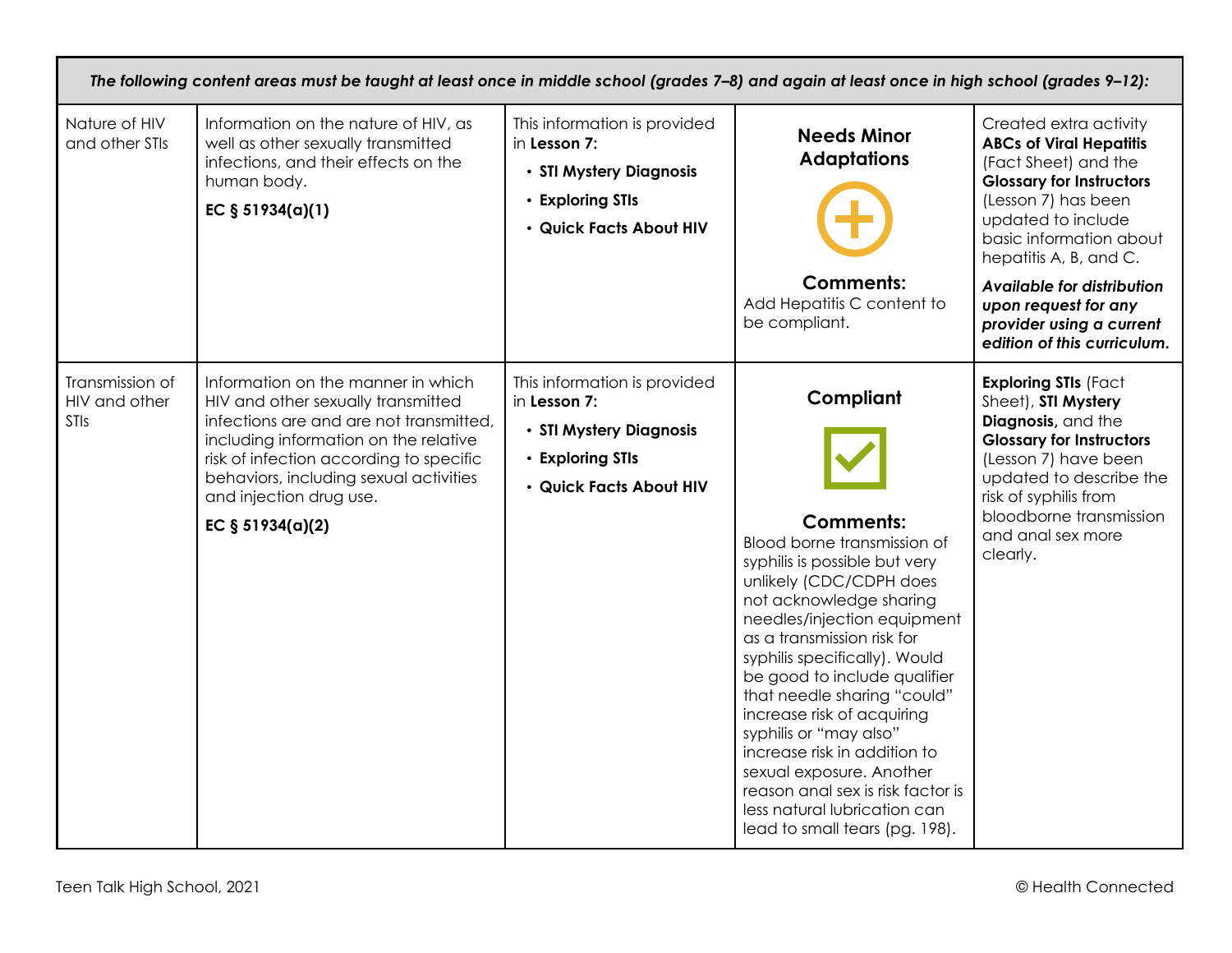| The following content areas must be taught at least once in middle school (grades 7-8) and again at least once in high school (grades 9-12): |                                                                                                                                                                                                                                                                                                    |                                                                                                                        |                                                                                                                                                                                                                                                                                                                                                                                                                                                                                                                                             |                                                                                                                                                                                                                                                                                                                                        |
|----------------------------------------------------------------------------------------------------------------------------------------------|----------------------------------------------------------------------------------------------------------------------------------------------------------------------------------------------------------------------------------------------------------------------------------------------------|------------------------------------------------------------------------------------------------------------------------|---------------------------------------------------------------------------------------------------------------------------------------------------------------------------------------------------------------------------------------------------------------------------------------------------------------------------------------------------------------------------------------------------------------------------------------------------------------------------------------------------------------------------------------------|----------------------------------------------------------------------------------------------------------------------------------------------------------------------------------------------------------------------------------------------------------------------------------------------------------------------------------------|
| Nature of HIV<br>and other STIs                                                                                                              | Information on the nature of HIV, as<br>well as other sexually transmitted<br>infections, and their effects on the<br>human body.<br>EC $§ 51934(a)(1)$                                                                                                                                            | This information is provided<br>in Lesson 7:<br>· STI Mystery Diagnosis<br>• Exploring STIs<br>· Quick Facts About HIV | <b>Needs Minor</b><br><b>Adaptations</b><br><b>Comments:</b><br>Add Hepatitis C content to<br>be compliant.                                                                                                                                                                                                                                                                                                                                                                                                                                 | Created extra activity<br><b>ABCs of Viral Hepatitis</b><br>(Fact Sheet) and the<br><b>Glossary for Instructors</b><br>(Lesson 7) has been<br>updated to include<br>basic information about<br>hepatitis A, B, and C.<br>Available for distribution<br>upon request for any<br>provider using a current<br>edition of this curriculum. |
| Transmission of<br>HIV and other<br><b>STIs</b>                                                                                              | Information on the manner in which<br>HIV and other sexually transmitted<br>infections are and are not transmitted,<br>including information on the relative<br>risk of infection according to specific<br>behaviors, including sexual activities<br>and injection drug use.<br>EC $§ 51934(a)(2)$ | This information is provided<br>in Lesson 7:<br>· STI Mystery Diagnosis<br>• Exploring STIs<br>· Quick Facts About HIV | Compliant<br><b>Comments:</b><br>Blood borne transmission of<br>syphilis is possible but very<br>unlikely (CDC/CDPH does<br>not acknowledge sharing<br>needles/injection equipment<br>as a transmission risk for<br>syphilis specifically). Would<br>be good to include qualifier<br>that needle sharing "could"<br>increase risk of acquiring<br>syphilis or "may also"<br>increase risk in addition to<br>sexual exposure. Another<br>reason anal sex is risk factor is<br>less natural lubrication can<br>lead to small tears (pg. 198). | <b>Exploring STIs (Fact</b><br>Sheet), STI Mystery<br>Diagnosis, and the<br><b>Glossary for Instructors</b><br>(Lesson 7) have been<br>updated to describe the<br>risk of syphilis from<br>bloodborne transmission<br>and anal sex more<br>clearly.                                                                                    |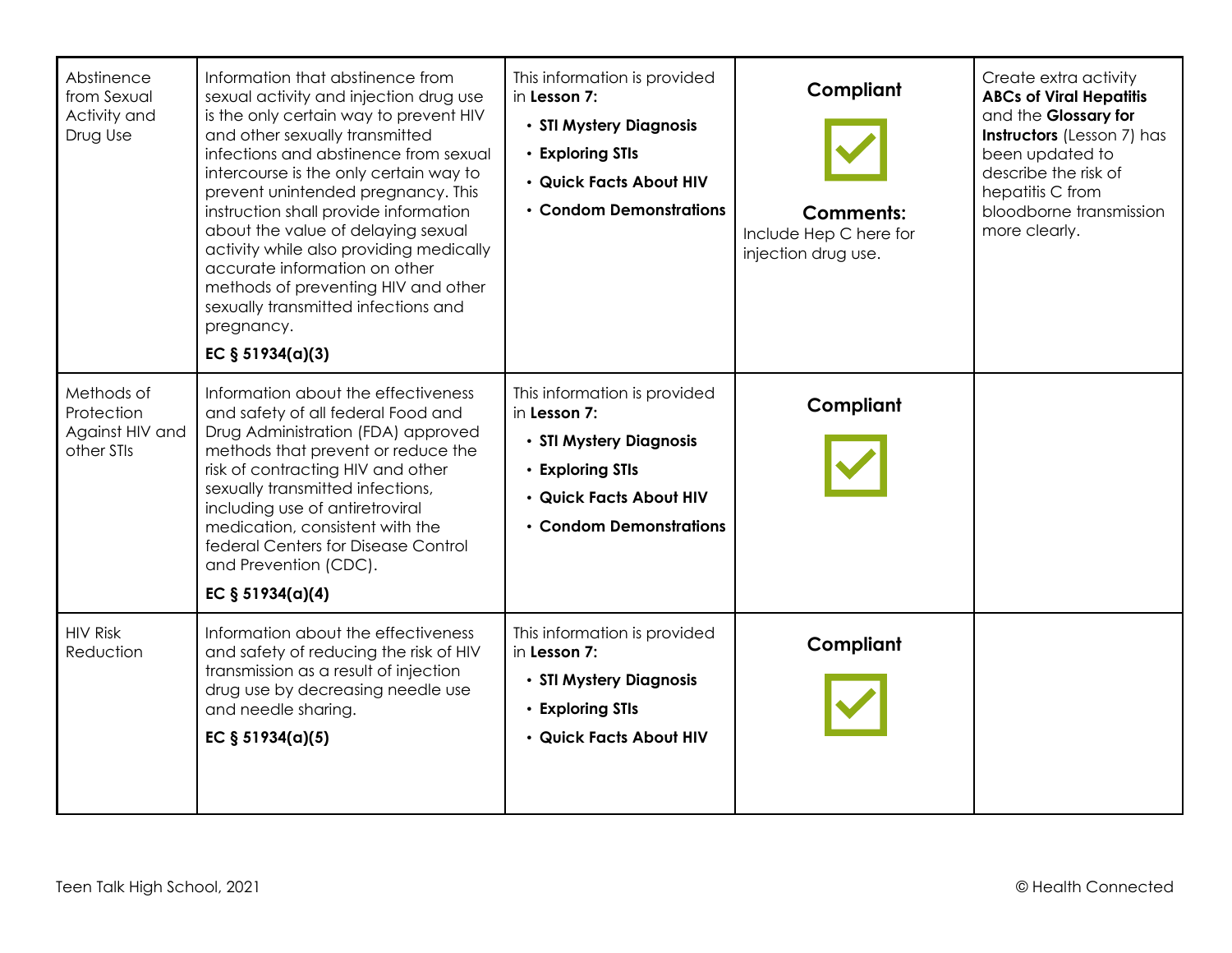| Abstinence<br>from Sexual<br>Activity and<br>Drug Use     | Information that abstinence from<br>sexual activity and injection drug use<br>is the only certain way to prevent HIV<br>and other sexually transmitted<br>infections and abstinence from sexual<br>intercourse is the only certain way to<br>prevent unintended pregnancy. This<br>instruction shall provide information<br>about the value of delaying sexual<br>activity while also providing medically<br>accurate information on other<br>methods of preventing HIV and other<br>sexually transmitted infections and<br>pregnancy.<br>EC $§ 51934(a)(3)$ | This information is provided<br>in Lesson 7:<br>• STI Mystery Diagnosis<br>• Exploring STIs<br>· Quick Facts About HIV<br>• Condom Demonstrations | Compliant<br><b>Comments:</b><br>Include Hep C here for<br>injection drug use. | Create extra activity<br><b>ABCs of Viral Hepatitis</b><br>and the Glossary for<br><b>Instructors</b> (Lesson 7) has<br>been updated to<br>describe the risk of<br>hepatitis C from<br>bloodborne transmission<br>more clearly. |
|-----------------------------------------------------------|--------------------------------------------------------------------------------------------------------------------------------------------------------------------------------------------------------------------------------------------------------------------------------------------------------------------------------------------------------------------------------------------------------------------------------------------------------------------------------------------------------------------------------------------------------------|---------------------------------------------------------------------------------------------------------------------------------------------------|--------------------------------------------------------------------------------|---------------------------------------------------------------------------------------------------------------------------------------------------------------------------------------------------------------------------------|
| Methods of<br>Protection<br>Against HIV and<br>other STIs | Information about the effectiveness<br>and safety of all federal Food and<br>Drug Administration (FDA) approved<br>methods that prevent or reduce the<br>risk of contracting HIV and other<br>sexually transmitted infections,<br>including use of antiretroviral<br>medication, consistent with the<br>federal Centers for Disease Control<br>and Prevention (CDC).<br>EC $§ 51934(a)(4)$                                                                                                                                                                   | This information is provided<br>in Lesson 7:<br>• STI Mystery Diagnosis<br>• Exploring STIs<br>· Quick Facts About HIV<br>• Condom Demonstrations | Compliant                                                                      |                                                                                                                                                                                                                                 |
| <b>HIV Risk</b><br>Reduction                              | Information about the effectiveness<br>and safety of reducing the risk of HIV<br>transmission as a result of injection<br>drug use by decreasing needle use<br>and needle sharing.<br>EC $§ 51934(a)(5)$                                                                                                                                                                                                                                                                                                                                                     | This information is provided<br>in Lesson 7:<br>• STI Mystery Diagnosis<br>• Exploring STIs<br>• Quick Facts About HIV                            | Compliant                                                                      |                                                                                                                                                                                                                                 |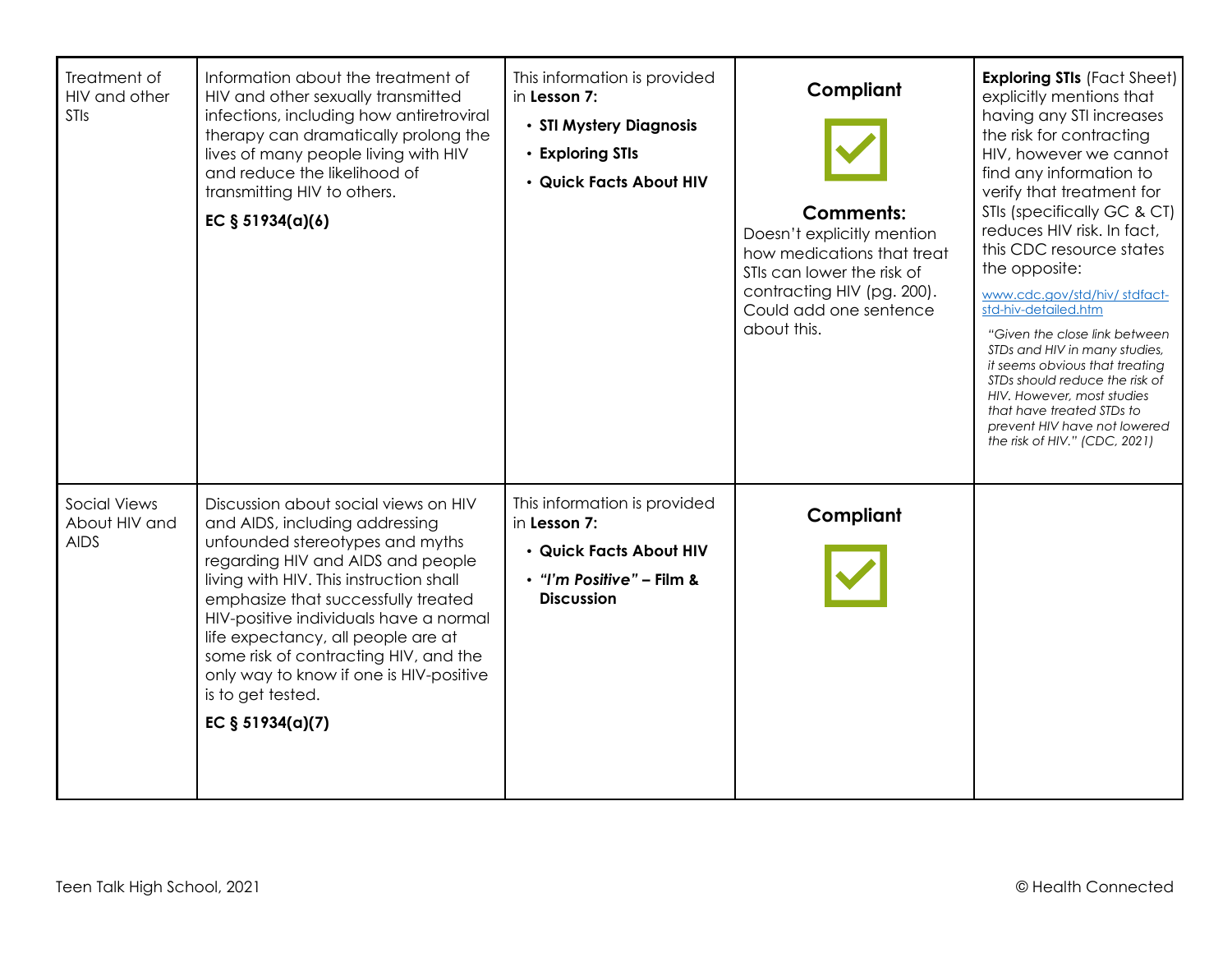| Treatment of<br>HIV and other<br>STIs               | Information about the treatment of<br>HIV and other sexually transmitted<br>infections, including how antiretroviral<br>therapy can dramatically prolong the<br>lives of many people living with HIV<br>and reduce the likelihood of<br>transmitting HIV to others.<br>EC $§ 51934(a)(6)$                                                                                                                                                     | This information is provided<br>in Lesson 7:<br>• STI Mystery Diagnosis<br>• Exploring STIs<br>· Quick Facts About HIV    | Compliant<br><b>Comments:</b><br>Doesn't explicitly mention<br>how medications that treat<br>STIs can lower the risk of<br>contracting HIV (pg. 200).<br>Could add one sentence<br>about this. | <b>Exploring STIs (Fact Sheet)</b><br>explicitly mentions that<br>having any STI increases<br>the risk for contracting<br>HIV, however we cannot<br>find any information to<br>verify that treatment for<br>STIs (specifically GC & CT)<br>reduces HIV risk. In fact,<br>this CDC resource states<br>the opposite:<br>www.cdc.gov/std/hiv/stdfact-<br>std-hiv-detailed.htm<br>"Given the close link between"<br>STDs and HIV in many studies,<br>it seems obvious that treating<br>STDs should reduce the risk of<br>HIV. However, most studies<br>that have treated STDs to<br>prevent HIV have not lowered<br>the risk of HIV." (CDC, 2021) |
|-----------------------------------------------------|-----------------------------------------------------------------------------------------------------------------------------------------------------------------------------------------------------------------------------------------------------------------------------------------------------------------------------------------------------------------------------------------------------------------------------------------------|---------------------------------------------------------------------------------------------------------------------------|------------------------------------------------------------------------------------------------------------------------------------------------------------------------------------------------|-----------------------------------------------------------------------------------------------------------------------------------------------------------------------------------------------------------------------------------------------------------------------------------------------------------------------------------------------------------------------------------------------------------------------------------------------------------------------------------------------------------------------------------------------------------------------------------------------------------------------------------------------|
| <b>Social Views</b><br>About HIV and<br><b>AIDS</b> | Discussion about social views on HIV<br>and AIDS, including addressing<br>unfounded stereotypes and myths<br>regarding HIV and AIDS and people<br>living with HIV. This instruction shall<br>emphasize that successfully treated<br>HIV-positive individuals have a normal<br>life expectancy, all people are at<br>some risk of contracting HIV, and the<br>only way to know if one is HIV-positive<br>is to get tested.<br>EC § 51934(a)(7) | This information is provided<br>in Lesson 7:<br>· Quick Facts About HIV<br>• "I'm Positive" - Film &<br><b>Discussion</b> | Compliant                                                                                                                                                                                      |                                                                                                                                                                                                                                                                                                                                                                                                                                                                                                                                                                                                                                               |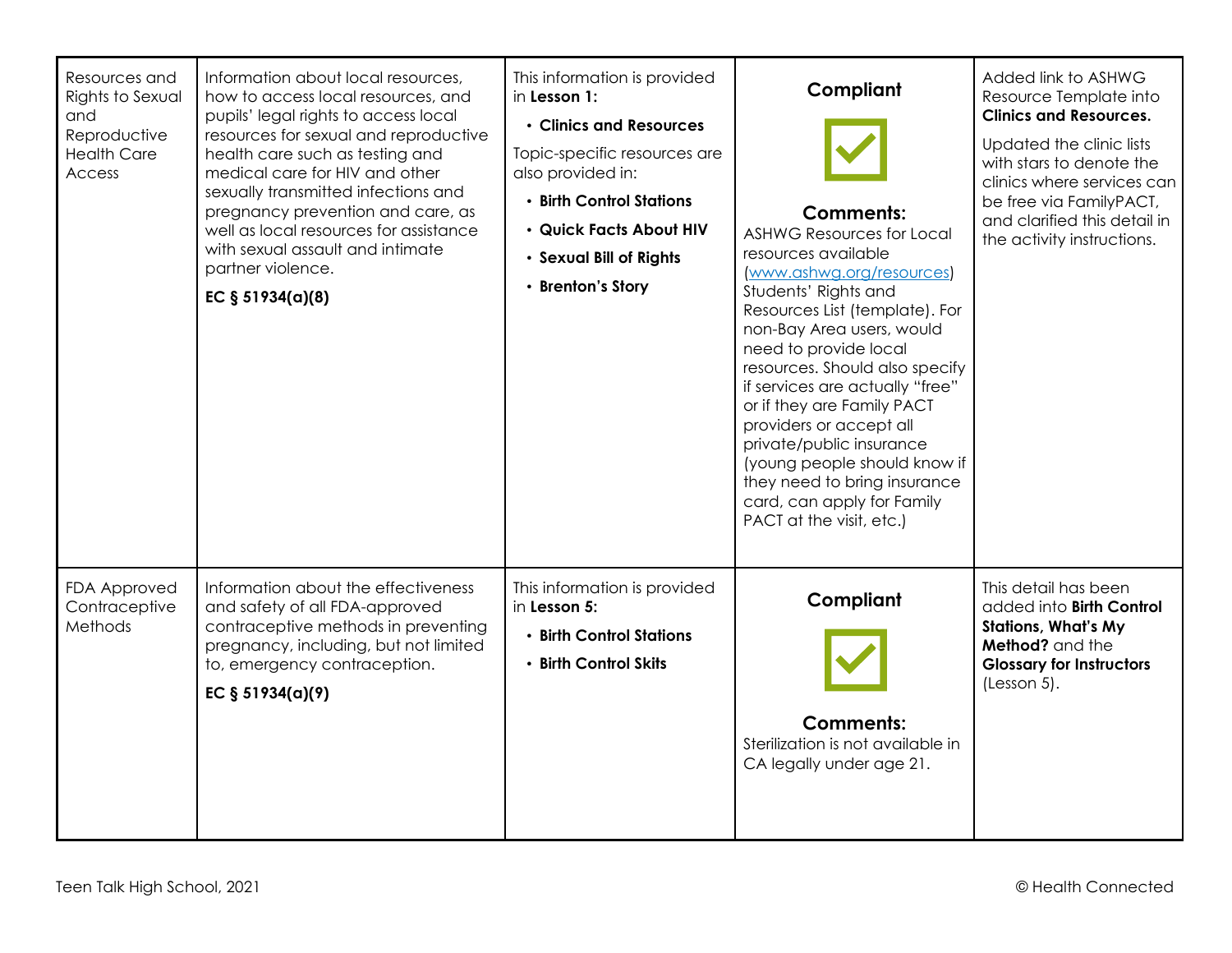| Resources and<br>Rights to Sexual<br>and<br>Reproductive<br><b>Health Care</b><br>Access | Information about local resources,<br>how to access local resources, and<br>pupils' legal rights to access local<br>resources for sexual and reproductive<br>health care such as testing and<br>medical care for HIV and other<br>sexually transmitted infections and<br>pregnancy prevention and care, as<br>well as local resources for assistance<br>with sexual assault and intimate<br>partner violence.<br>EC $§ 51934(a)(8)$ | This information is provided<br>in Lesson 1:<br>• Clinics and Resources<br>Topic-specific resources are<br>also provided in:<br>• Birth Control Stations<br>· Quick Facts About HIV<br>· Sexual Bill of Rights<br>• Brenton's Story | Compliant<br><b>Comments:</b><br><b>ASHWG Resources for Local</b><br>resources available<br>(www.ashwg.org/resources)<br>Students' Rights and<br>Resources List (template). For<br>non-Bay Area users, would<br>need to provide local<br>resources. Should also specify<br>if services are actually "free"<br>or if they are Family PACT<br>providers or accept all<br>private/public insurance<br>(young people should know if<br>they need to bring insurance<br>card, can apply for Family<br>PACT at the visit, etc.) | Added link to ASHWG<br>Resource Template into<br><b>Clinics and Resources.</b><br>Updated the clinic lists<br>with stars to denote the<br>clinics where services can<br>be free via FamilyPACT,<br>and clarified this detail in<br>the activity instructions. |
|------------------------------------------------------------------------------------------|-------------------------------------------------------------------------------------------------------------------------------------------------------------------------------------------------------------------------------------------------------------------------------------------------------------------------------------------------------------------------------------------------------------------------------------|-------------------------------------------------------------------------------------------------------------------------------------------------------------------------------------------------------------------------------------|---------------------------------------------------------------------------------------------------------------------------------------------------------------------------------------------------------------------------------------------------------------------------------------------------------------------------------------------------------------------------------------------------------------------------------------------------------------------------------------------------------------------------|---------------------------------------------------------------------------------------------------------------------------------------------------------------------------------------------------------------------------------------------------------------|
| FDA Approved<br>Contraceptive<br>Methods                                                 | Information about the effectiveness<br>and safety of all FDA-approved<br>contraceptive methods in preventing<br>pregnancy, including, but not limited<br>to, emergency contraception.<br>EC $§ 51934(a)(9)$                                                                                                                                                                                                                         | This information is provided<br>in Lesson 5:<br>• Birth Control Stations<br>• Birth Control Skits                                                                                                                                   | Compliant<br><b>Comments:</b><br>Sterilization is not available in<br>CA legally under age 21.                                                                                                                                                                                                                                                                                                                                                                                                                            | This detail has been<br>added into Birth Control<br><b>Stations, What's My</b><br>Method? and the<br><b>Glossary for Instructors</b><br>(Lesson 5).                                                                                                           |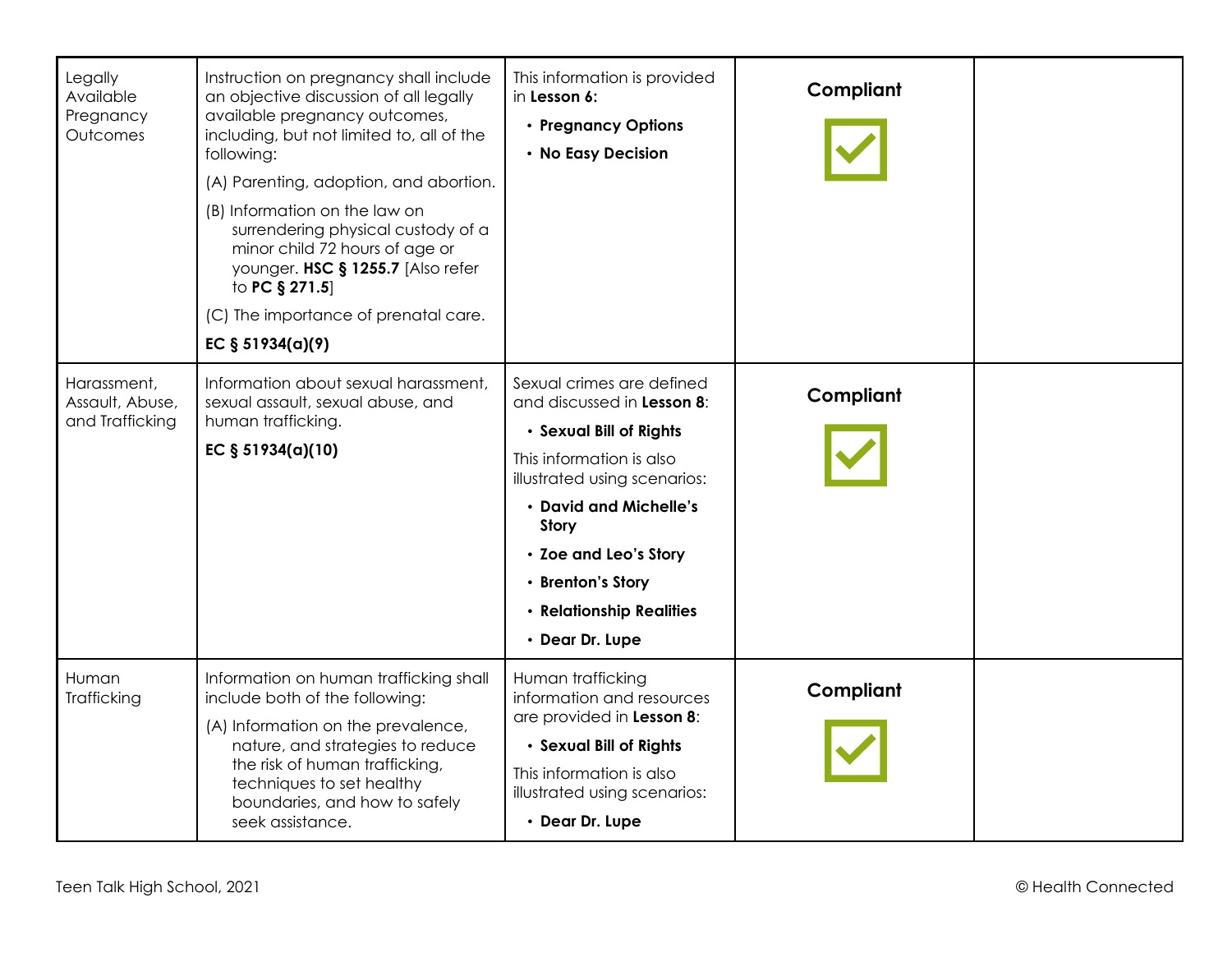| Legally<br>Available<br>Pregnancy<br>Outcomes     | Instruction on pregnancy shall include<br>an objective discussion of all legally<br>available pregnancy outcomes,<br>including, but not limited to, all of the<br>following:<br>(A) Parenting, adoption, and abortion.<br>(B) Information on the law on<br>surrendering physical custody of a<br>minor child 72 hours of age or<br>younger. HSC § 1255.7 [Also refer<br>to PC § 271.5]<br>(C) The importance of prenatal care.<br>EC $§ 51934(a)(9)$ | This information is provided<br>in Lesson 6:<br>• Pregnancy Options<br>• No Easy Decision                                                                                                                                                                                             | Compliant |  |
|---------------------------------------------------|------------------------------------------------------------------------------------------------------------------------------------------------------------------------------------------------------------------------------------------------------------------------------------------------------------------------------------------------------------------------------------------------------------------------------------------------------|---------------------------------------------------------------------------------------------------------------------------------------------------------------------------------------------------------------------------------------------------------------------------------------|-----------|--|
| Harassment,<br>Assault, Abuse,<br>and Trafficking | Information about sexual harassment,<br>sexual assault, sexual abuse, and<br>human trafficking.<br>EC § 51934(a)(10)                                                                                                                                                                                                                                                                                                                                 | Sexual crimes are defined<br>and discussed in Lesson 8:<br>· Sexual Bill of Rights<br>This information is also<br>illustrated using scenarios:<br>• David and Michelle's<br><b>Story</b><br>• Zoe and Leo's Story<br>• Brenton's Story<br>• Relationship Realities<br>• Dear Dr. Lupe | Compliant |  |
| Human<br>Trafficking                              | Information on human trafficking shall<br>include both of the following:<br>(A) Information on the prevalence,<br>nature, and strategies to reduce<br>the risk of human trafficking,<br>techniques to set healthy<br>boundaries, and how to safely<br>seek assistance.                                                                                                                                                                               | Human trafficking<br>information and resources<br>are provided in Lesson 8:<br>· Sexual Bill of Rights<br>This information is also<br>illustrated using scenarios:<br>• Dear Dr. Lupe                                                                                                 | Compliant |  |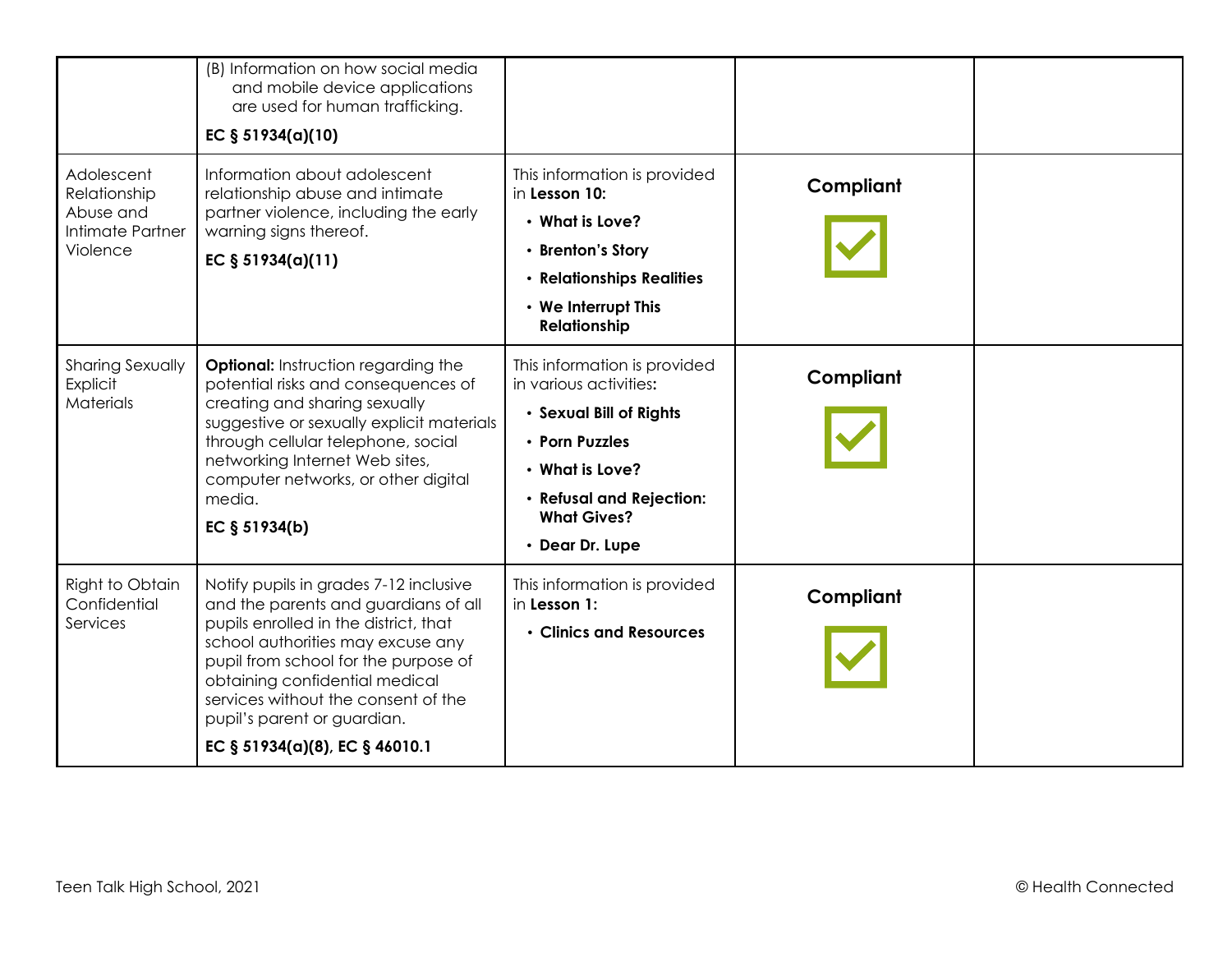|                                                                         | (B) Information on how social media<br>and mobile device applications<br>are used for human trafficking.<br>EC § 51934(a)(10)                                                                                                                                                                                                                  |                                                                                                                                                                                             |           |  |
|-------------------------------------------------------------------------|------------------------------------------------------------------------------------------------------------------------------------------------------------------------------------------------------------------------------------------------------------------------------------------------------------------------------------------------|---------------------------------------------------------------------------------------------------------------------------------------------------------------------------------------------|-----------|--|
| Adolescent<br>Relationship<br>Abuse and<br>Intimate Partner<br>Violence | Information about adolescent<br>relationship abuse and intimate<br>partner violence, including the early<br>warning signs thereof.<br>EC $§ 51934(a)(11)$                                                                                                                                                                                      | This information is provided<br>in Lesson 10:<br>• What is Love?<br>• Brenton's Story<br>• Relationships Realities<br>• We Interrupt This<br><b>Relationship</b>                            | Compliant |  |
| <b>Sharing Sexually</b><br>Explicit<br><b>Materials</b>                 | <b>Optional:</b> Instruction regarding the<br>potential risks and consequences of<br>creating and sharing sexually<br>suggestive or sexually explicit materials<br>through cellular telephone, social<br>networking Internet Web sites,<br>computer networks, or other digital<br>media.<br>EC § 51934(b)                                      | This information is provided<br>in various activities:<br>· Sexual Bill of Rights<br>• Porn Puzzles<br>• What is Love?<br>· Refusal and Rejection:<br><b>What Gives?</b><br>• Dear Dr. Lupe | Compliant |  |
| Right to Obtain<br>Confidential<br>Services                             | Notify pupils in grades 7-12 inclusive<br>and the parents and guardians of all<br>pupils enrolled in the district, that<br>school authorities may excuse any<br>pupil from school for the purpose of<br>obtaining confidential medical<br>services without the consent of the<br>pupil's parent or guardian.<br>EC § 51934(a)(8), EC § 46010.1 | This information is provided<br>in Lesson 1:<br>• Clinics and Resources                                                                                                                     | Compliant |  |